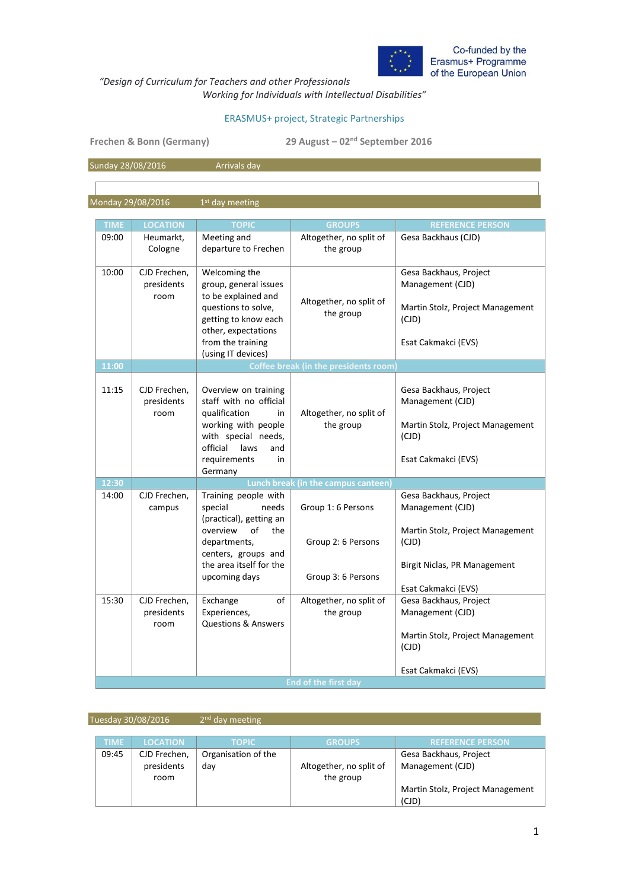

*"Design of Curriculum for Teachers and other Professionals* 

*Working for Individuals with Intellectual Disabilities"* 

## ERASMUS+ project, Strategic Partnerships

**Frechen & Bonn (Germany) 29 August – 02nd September 2016**

Sunday 28/08/2016 **Arrivals day** 

Monday 29/08/2016  $1<sup>st</sup>$  day meeting

| Meeting and<br>Altogether, no split of<br>Gesa Backhaus (CJD)<br>09:00<br>Heumarkt,<br>Cologne<br>departure to Frechen<br>the group<br>10:00<br>CJD Frechen,<br>Welcoming the<br>Gesa Backhaus, Project<br>group, general issues<br>presidents<br>Management (CJD)<br>to be explained and<br>room<br>Altogether, no split of<br>questions to solve,<br>Martin Stolz, Project Management<br>the group<br>getting to know each<br>(CJD)<br>other, expectations<br>from the training<br>Esat Cakmakci (EVS)<br>(using IT devices)<br>11:00<br><b>Coffee break (in the presidents room</b><br>11:15<br>Overview on training<br>CJD Frechen,<br>Gesa Backhaus, Project<br>staff with no official<br>Management (CJD)<br>presidents<br>qualification<br>Altogether, no split of<br>room<br>in<br>working with people<br>the group<br>Martin Stolz, Project Management<br>with special needs,<br>(CJD)<br>official<br>laws<br>and<br>requirements<br>in<br>Esat Cakmakci (EVS)<br>Germany<br>12:30<br>Lunch break (in the campus canteen)<br>14:00<br>CJD Frechen,<br>Training people with<br>Gesa Backhaus, Project<br>special<br>needs<br>Group 1: 6 Persons<br>Management (CJD)<br>campus<br>(practical), getting an<br>of<br>overview<br>the<br>Martin Stolz, Project Management<br>departments,<br>Group 2: 6 Persons<br>(CJD)<br>centers, groups and<br>the area itself for the<br>Birgit Niclas, PR Management<br>upcoming days<br>Group 3: 6 Persons<br>Esat Cakmakci (EVS)<br>15:30<br>Altogether, no split of<br>Gesa Backhaus, Project<br>CJD Frechen,<br>Exchange<br>of<br>the group<br>presidents<br>Experiences,<br>Management (CJD)<br><b>Questions &amp; Answers</b><br>room<br>Martin Stolz, Project Management<br>(CJD)<br>Esat Cakmakci (EVS) |             |                 |              |                             |                         |  |  |
|-----------------------------------------------------------------------------------------------------------------------------------------------------------------------------------------------------------------------------------------------------------------------------------------------------------------------------------------------------------------------------------------------------------------------------------------------------------------------------------------------------------------------------------------------------------------------------------------------------------------------------------------------------------------------------------------------------------------------------------------------------------------------------------------------------------------------------------------------------------------------------------------------------------------------------------------------------------------------------------------------------------------------------------------------------------------------------------------------------------------------------------------------------------------------------------------------------------------------------------------------------------------------------------------------------------------------------------------------------------------------------------------------------------------------------------------------------------------------------------------------------------------------------------------------------------------------------------------------------------------------------------------------------------------------------------------------------------------------------------------------------------|-------------|-----------------|--------------|-----------------------------|-------------------------|--|--|
|                                                                                                                                                                                                                                                                                                                                                                                                                                                                                                                                                                                                                                                                                                                                                                                                                                                                                                                                                                                                                                                                                                                                                                                                                                                                                                                                                                                                                                                                                                                                                                                                                                                                                                                                                           | <b>TIME</b> | <b>LOCATION</b> | <b>TOPIC</b> | <b>GROUPS</b>               | <b>REFERENCE PERSON</b> |  |  |
|                                                                                                                                                                                                                                                                                                                                                                                                                                                                                                                                                                                                                                                                                                                                                                                                                                                                                                                                                                                                                                                                                                                                                                                                                                                                                                                                                                                                                                                                                                                                                                                                                                                                                                                                                           |             |                 |              |                             |                         |  |  |
|                                                                                                                                                                                                                                                                                                                                                                                                                                                                                                                                                                                                                                                                                                                                                                                                                                                                                                                                                                                                                                                                                                                                                                                                                                                                                                                                                                                                                                                                                                                                                                                                                                                                                                                                                           |             |                 |              |                             |                         |  |  |
|                                                                                                                                                                                                                                                                                                                                                                                                                                                                                                                                                                                                                                                                                                                                                                                                                                                                                                                                                                                                                                                                                                                                                                                                                                                                                                                                                                                                                                                                                                                                                                                                                                                                                                                                                           |             |                 |              |                             |                         |  |  |
|                                                                                                                                                                                                                                                                                                                                                                                                                                                                                                                                                                                                                                                                                                                                                                                                                                                                                                                                                                                                                                                                                                                                                                                                                                                                                                                                                                                                                                                                                                                                                                                                                                                                                                                                                           |             |                 |              |                             |                         |  |  |
|                                                                                                                                                                                                                                                                                                                                                                                                                                                                                                                                                                                                                                                                                                                                                                                                                                                                                                                                                                                                                                                                                                                                                                                                                                                                                                                                                                                                                                                                                                                                                                                                                                                                                                                                                           |             |                 |              |                             |                         |  |  |
|                                                                                                                                                                                                                                                                                                                                                                                                                                                                                                                                                                                                                                                                                                                                                                                                                                                                                                                                                                                                                                                                                                                                                                                                                                                                                                                                                                                                                                                                                                                                                                                                                                                                                                                                                           |             |                 |              |                             |                         |  |  |
|                                                                                                                                                                                                                                                                                                                                                                                                                                                                                                                                                                                                                                                                                                                                                                                                                                                                                                                                                                                                                                                                                                                                                                                                                                                                                                                                                                                                                                                                                                                                                                                                                                                                                                                                                           |             |                 |              |                             |                         |  |  |
|                                                                                                                                                                                                                                                                                                                                                                                                                                                                                                                                                                                                                                                                                                                                                                                                                                                                                                                                                                                                                                                                                                                                                                                                                                                                                                                                                                                                                                                                                                                                                                                                                                                                                                                                                           |             |                 |              |                             |                         |  |  |
|                                                                                                                                                                                                                                                                                                                                                                                                                                                                                                                                                                                                                                                                                                                                                                                                                                                                                                                                                                                                                                                                                                                                                                                                                                                                                                                                                                                                                                                                                                                                                                                                                                                                                                                                                           |             |                 |              |                             |                         |  |  |
|                                                                                                                                                                                                                                                                                                                                                                                                                                                                                                                                                                                                                                                                                                                                                                                                                                                                                                                                                                                                                                                                                                                                                                                                                                                                                                                                                                                                                                                                                                                                                                                                                                                                                                                                                           |             |                 |              |                             |                         |  |  |
|                                                                                                                                                                                                                                                                                                                                                                                                                                                                                                                                                                                                                                                                                                                                                                                                                                                                                                                                                                                                                                                                                                                                                                                                                                                                                                                                                                                                                                                                                                                                                                                                                                                                                                                                                           |             |                 |              |                             |                         |  |  |
|                                                                                                                                                                                                                                                                                                                                                                                                                                                                                                                                                                                                                                                                                                                                                                                                                                                                                                                                                                                                                                                                                                                                                                                                                                                                                                                                                                                                                                                                                                                                                                                                                                                                                                                                                           |             |                 |              |                             |                         |  |  |
|                                                                                                                                                                                                                                                                                                                                                                                                                                                                                                                                                                                                                                                                                                                                                                                                                                                                                                                                                                                                                                                                                                                                                                                                                                                                                                                                                                                                                                                                                                                                                                                                                                                                                                                                                           |             |                 |              |                             |                         |  |  |
|                                                                                                                                                                                                                                                                                                                                                                                                                                                                                                                                                                                                                                                                                                                                                                                                                                                                                                                                                                                                                                                                                                                                                                                                                                                                                                                                                                                                                                                                                                                                                                                                                                                                                                                                                           |             |                 |              |                             |                         |  |  |
|                                                                                                                                                                                                                                                                                                                                                                                                                                                                                                                                                                                                                                                                                                                                                                                                                                                                                                                                                                                                                                                                                                                                                                                                                                                                                                                                                                                                                                                                                                                                                                                                                                                                                                                                                           |             |                 |              |                             |                         |  |  |
|                                                                                                                                                                                                                                                                                                                                                                                                                                                                                                                                                                                                                                                                                                                                                                                                                                                                                                                                                                                                                                                                                                                                                                                                                                                                                                                                                                                                                                                                                                                                                                                                                                                                                                                                                           |             |                 |              |                             |                         |  |  |
|                                                                                                                                                                                                                                                                                                                                                                                                                                                                                                                                                                                                                                                                                                                                                                                                                                                                                                                                                                                                                                                                                                                                                                                                                                                                                                                                                                                                                                                                                                                                                                                                                                                                                                                                                           |             |                 |              |                             |                         |  |  |
|                                                                                                                                                                                                                                                                                                                                                                                                                                                                                                                                                                                                                                                                                                                                                                                                                                                                                                                                                                                                                                                                                                                                                                                                                                                                                                                                                                                                                                                                                                                                                                                                                                                                                                                                                           |             |                 |              |                             |                         |  |  |
|                                                                                                                                                                                                                                                                                                                                                                                                                                                                                                                                                                                                                                                                                                                                                                                                                                                                                                                                                                                                                                                                                                                                                                                                                                                                                                                                                                                                                                                                                                                                                                                                                                                                                                                                                           |             |                 |              |                             |                         |  |  |
|                                                                                                                                                                                                                                                                                                                                                                                                                                                                                                                                                                                                                                                                                                                                                                                                                                                                                                                                                                                                                                                                                                                                                                                                                                                                                                                                                                                                                                                                                                                                                                                                                                                                                                                                                           |             |                 |              |                             |                         |  |  |
|                                                                                                                                                                                                                                                                                                                                                                                                                                                                                                                                                                                                                                                                                                                                                                                                                                                                                                                                                                                                                                                                                                                                                                                                                                                                                                                                                                                                                                                                                                                                                                                                                                                                                                                                                           |             |                 |              |                             |                         |  |  |
|                                                                                                                                                                                                                                                                                                                                                                                                                                                                                                                                                                                                                                                                                                                                                                                                                                                                                                                                                                                                                                                                                                                                                                                                                                                                                                                                                                                                                                                                                                                                                                                                                                                                                                                                                           |             |                 |              |                             |                         |  |  |
|                                                                                                                                                                                                                                                                                                                                                                                                                                                                                                                                                                                                                                                                                                                                                                                                                                                                                                                                                                                                                                                                                                                                                                                                                                                                                                                                                                                                                                                                                                                                                                                                                                                                                                                                                           |             |                 |              |                             |                         |  |  |
|                                                                                                                                                                                                                                                                                                                                                                                                                                                                                                                                                                                                                                                                                                                                                                                                                                                                                                                                                                                                                                                                                                                                                                                                                                                                                                                                                                                                                                                                                                                                                                                                                                                                                                                                                           |             |                 |              |                             |                         |  |  |
|                                                                                                                                                                                                                                                                                                                                                                                                                                                                                                                                                                                                                                                                                                                                                                                                                                                                                                                                                                                                                                                                                                                                                                                                                                                                                                                                                                                                                                                                                                                                                                                                                                                                                                                                                           |             |                 |              |                             |                         |  |  |
|                                                                                                                                                                                                                                                                                                                                                                                                                                                                                                                                                                                                                                                                                                                                                                                                                                                                                                                                                                                                                                                                                                                                                                                                                                                                                                                                                                                                                                                                                                                                                                                                                                                                                                                                                           |             |                 |              |                             |                         |  |  |
|                                                                                                                                                                                                                                                                                                                                                                                                                                                                                                                                                                                                                                                                                                                                                                                                                                                                                                                                                                                                                                                                                                                                                                                                                                                                                                                                                                                                                                                                                                                                                                                                                                                                                                                                                           |             |                 |              |                             |                         |  |  |
|                                                                                                                                                                                                                                                                                                                                                                                                                                                                                                                                                                                                                                                                                                                                                                                                                                                                                                                                                                                                                                                                                                                                                                                                                                                                                                                                                                                                                                                                                                                                                                                                                                                                                                                                                           |             |                 |              |                             |                         |  |  |
|                                                                                                                                                                                                                                                                                                                                                                                                                                                                                                                                                                                                                                                                                                                                                                                                                                                                                                                                                                                                                                                                                                                                                                                                                                                                                                                                                                                                                                                                                                                                                                                                                                                                                                                                                           |             |                 |              |                             |                         |  |  |
|                                                                                                                                                                                                                                                                                                                                                                                                                                                                                                                                                                                                                                                                                                                                                                                                                                                                                                                                                                                                                                                                                                                                                                                                                                                                                                                                                                                                                                                                                                                                                                                                                                                                                                                                                           |             |                 |              |                             |                         |  |  |
|                                                                                                                                                                                                                                                                                                                                                                                                                                                                                                                                                                                                                                                                                                                                                                                                                                                                                                                                                                                                                                                                                                                                                                                                                                                                                                                                                                                                                                                                                                                                                                                                                                                                                                                                                           |             |                 |              |                             |                         |  |  |
|                                                                                                                                                                                                                                                                                                                                                                                                                                                                                                                                                                                                                                                                                                                                                                                                                                                                                                                                                                                                                                                                                                                                                                                                                                                                                                                                                                                                                                                                                                                                                                                                                                                                                                                                                           |             |                 |              |                             |                         |  |  |
|                                                                                                                                                                                                                                                                                                                                                                                                                                                                                                                                                                                                                                                                                                                                                                                                                                                                                                                                                                                                                                                                                                                                                                                                                                                                                                                                                                                                                                                                                                                                                                                                                                                                                                                                                           |             |                 |              |                             |                         |  |  |
|                                                                                                                                                                                                                                                                                                                                                                                                                                                                                                                                                                                                                                                                                                                                                                                                                                                                                                                                                                                                                                                                                                                                                                                                                                                                                                                                                                                                                                                                                                                                                                                                                                                                                                                                                           |             |                 |              |                             |                         |  |  |
|                                                                                                                                                                                                                                                                                                                                                                                                                                                                                                                                                                                                                                                                                                                                                                                                                                                                                                                                                                                                                                                                                                                                                                                                                                                                                                                                                                                                                                                                                                                                                                                                                                                                                                                                                           |             |                 |              |                             |                         |  |  |
|                                                                                                                                                                                                                                                                                                                                                                                                                                                                                                                                                                                                                                                                                                                                                                                                                                                                                                                                                                                                                                                                                                                                                                                                                                                                                                                                                                                                                                                                                                                                                                                                                                                                                                                                                           |             |                 |              |                             |                         |  |  |
|                                                                                                                                                                                                                                                                                                                                                                                                                                                                                                                                                                                                                                                                                                                                                                                                                                                                                                                                                                                                                                                                                                                                                                                                                                                                                                                                                                                                                                                                                                                                                                                                                                                                                                                                                           |             |                 |              |                             |                         |  |  |
|                                                                                                                                                                                                                                                                                                                                                                                                                                                                                                                                                                                                                                                                                                                                                                                                                                                                                                                                                                                                                                                                                                                                                                                                                                                                                                                                                                                                                                                                                                                                                                                                                                                                                                                                                           |             |                 |              |                             |                         |  |  |
|                                                                                                                                                                                                                                                                                                                                                                                                                                                                                                                                                                                                                                                                                                                                                                                                                                                                                                                                                                                                                                                                                                                                                                                                                                                                                                                                                                                                                                                                                                                                                                                                                                                                                                                                                           |             |                 |              | <b>End of the first day</b> |                         |  |  |

| Tuesday 30/08/2016 |             |                                    | $2nd$ day meeting          |                                      |                                            |  |
|--------------------|-------------|------------------------------------|----------------------------|--------------------------------------|--------------------------------------------|--|
|                    | <b>TIME</b> | <b>LOCATION</b>                    | <b>TOPIC</b>               | <b>GROUPS</b>                        | <b>REFERENCE PERSON</b>                    |  |
|                    | 09:45       | CJD Frechen,<br>presidents<br>room | Organisation of the<br>day | Altogether, no split of<br>the group | Gesa Backhaus, Project<br>Management (CJD) |  |
|                    |             |                                    |                            |                                      | Martin Stolz, Project Management<br>(CJD)  |  |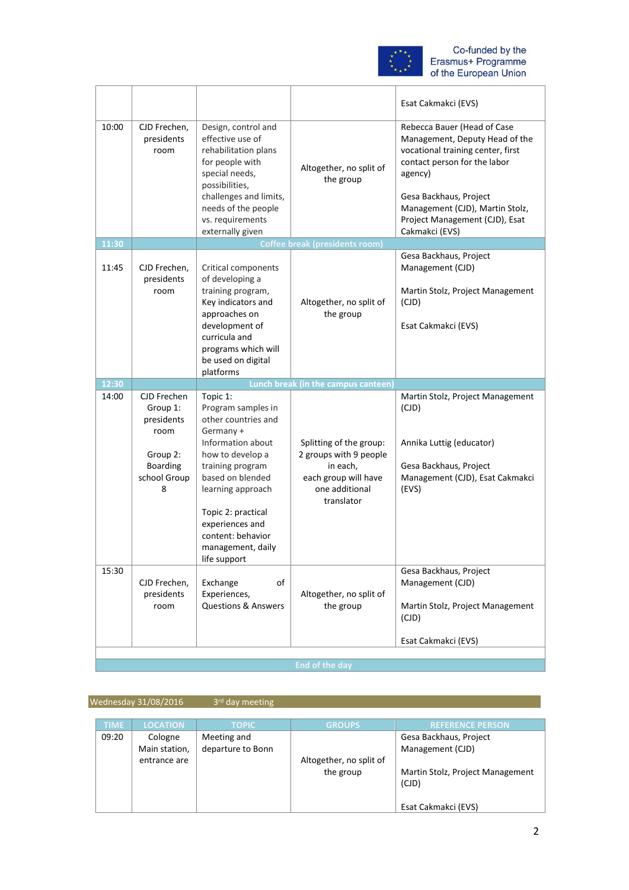

|                |                                       |                                                                                                                                                                                                                 |                                                                  | Esat Cakmakci (EVS)                                                                                                                                                                                                                                            |
|----------------|---------------------------------------|-----------------------------------------------------------------------------------------------------------------------------------------------------------------------------------------------------------------|------------------------------------------------------------------|----------------------------------------------------------------------------------------------------------------------------------------------------------------------------------------------------------------------------------------------------------------|
| 10:00          | CJD Frechen,<br>presidents<br>room    | Design, control and<br>effective use of<br>rehabilitation plans<br>for people with<br>special needs,<br>possibilities,<br>challenges and limits,<br>needs of the people<br>vs. requirements<br>externally given | Altogether, no split of<br>the group                             | Rebecca Bauer (Head of Case<br>Management, Deputy Head of the<br>vocational training center, first<br>contact person for the labor<br>agency)<br>Gesa Backhaus, Project<br>Management (CJD), Martin Stolz,<br>Project Management (CJD), Esat<br>Cakmakci (EVS) |
| 11:30          |                                       |                                                                                                                                                                                                                 | <b>Coffee break (presidents room)</b>                            |                                                                                                                                                                                                                                                                |
| 11:45          | CJD Frechen,<br>presidents<br>room    | Critical components<br>of developing a<br>training program,                                                                                                                                                     |                                                                  | Gesa Backhaus, Project<br>Management (CJD)<br>Martin Stolz, Project Management                                                                                                                                                                                 |
|                |                                       | Key indicators and<br>approaches on                                                                                                                                                                             | Altogether, no split of<br>the group                             | (CJD)                                                                                                                                                                                                                                                          |
|                |                                       | development of<br>curricula and<br>programs which will                                                                                                                                                          |                                                                  | Esat Cakmakci (EVS)                                                                                                                                                                                                                                            |
|                |                                       | be used on digital<br>platforms                                                                                                                                                                                 |                                                                  |                                                                                                                                                                                                                                                                |
|                |                                       |                                                                                                                                                                                                                 |                                                                  |                                                                                                                                                                                                                                                                |
|                |                                       |                                                                                                                                                                                                                 |                                                                  |                                                                                                                                                                                                                                                                |
| 12:30<br>14:00 | CJD Frechen<br>Group 1:<br>presidents | Topic 1:<br>Program samples in<br>other countries and                                                                                                                                                           | Lunch break (in the campus canteen)                              | Martin Stolz, Project Management<br>(CJD)                                                                                                                                                                                                                      |
|                | room                                  | Germany +<br>Information about                                                                                                                                                                                  | Splitting of the group:                                          | Annika Luttig (educator)                                                                                                                                                                                                                                       |
|                | Group 2:                              | how to develop a                                                                                                                                                                                                | 2 groups with 9 people                                           |                                                                                                                                                                                                                                                                |
|                | Boarding<br>school Group<br>8         | training program<br>based on blended<br>learning approach                                                                                                                                                       | in each,<br>each group will have<br>one additional<br>translator | Gesa Backhaus, Project<br>Management (CJD), Esat Cakmakci<br>(EVS)                                                                                                                                                                                             |
|                |                                       | Topic 2: practical<br>experiences and<br>content: behavior<br>management, daily<br>life support                                                                                                                 |                                                                  |                                                                                                                                                                                                                                                                |
| 15:30          | CJD Frechen,                          | of<br>Exchange                                                                                                                                                                                                  |                                                                  | Gesa Backhaus, Project<br>Management (CJD)                                                                                                                                                                                                                     |
|                | presidents<br>room                    | Experiences,<br><b>Questions &amp; Answers</b>                                                                                                                                                                  | Altogether, no split of<br>the group                             | Martin Stolz, Project Management<br>(CJD)                                                                                                                                                                                                                      |
|                |                                       |                                                                                                                                                                                                                 |                                                                  | Esat Cakmakci (EVS)                                                                                                                                                                                                                                            |

Wednesday 31/08/2016 3rd day meeting

| <b>TIME</b> | <b>LOCATION</b> | <b>TOPIC</b>      | <b>GROUPS</b>           | <b>REFERENCE PERSON</b>          |
|-------------|-----------------|-------------------|-------------------------|----------------------------------|
| 09:20       | Cologne         | Meeting and       |                         | Gesa Backhaus, Project           |
|             | Main station,   | departure to Bonn |                         | Management (CJD)                 |
|             | entrance are    |                   | Altogether, no split of |                                  |
|             |                 |                   | the group               | Martin Stolz, Project Management |
|             |                 |                   |                         | (CJD)                            |
|             |                 |                   |                         |                                  |
|             |                 |                   |                         | Esat Cakmakci (EVS)              |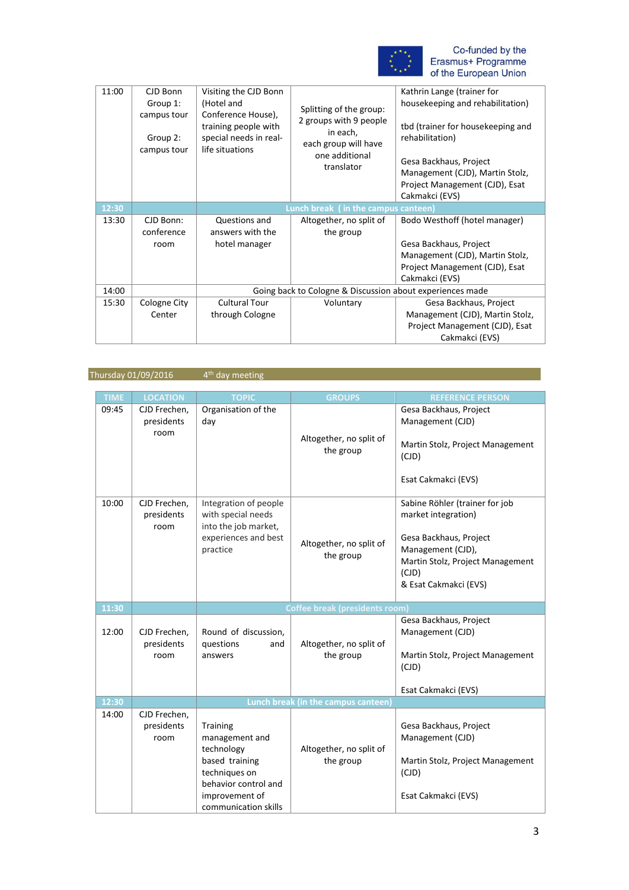

| 11:00 | CJD Bonn<br>Group 1:<br>campus tour<br>Group 2:<br>campus tour | Visiting the CJD Bonn<br>(Hotel and<br>Conference House),<br>training people with<br>special needs in real-<br>life situations | Splitting of the group:<br>2 groups with 9 people<br>in each,<br>each group will have<br>one additional<br>translator | Kathrin Lange (trainer for<br>housekeeping and rehabilitation)<br>tbd (trainer for housekeeping and<br>rehabilitation)<br>Gesa Backhaus, Project<br>Management (CJD), Martin Stolz,<br>Project Management (CJD), Esat<br>Cakmakci (EVS) |
|-------|----------------------------------------------------------------|--------------------------------------------------------------------------------------------------------------------------------|-----------------------------------------------------------------------------------------------------------------------|-----------------------------------------------------------------------------------------------------------------------------------------------------------------------------------------------------------------------------------------|
| 12:30 |                                                                |                                                                                                                                | Lunch break (in the campus canteen)                                                                                   |                                                                                                                                                                                                                                         |
| 13:30 | CJD Bonn:<br>conference<br>room                                | Questions and<br>answers with the<br>hotel manager                                                                             | Altogether, no split of<br>the group                                                                                  | Bodo Westhoff (hotel manager)<br>Gesa Backhaus, Project<br>Management (CJD), Martin Stolz,<br>Project Management (CJD), Esat<br>Cakmakci (EVS)                                                                                          |
| 14:00 |                                                                | Going back to Cologne & Discussion about experiences made                                                                      |                                                                                                                       |                                                                                                                                                                                                                                         |
| 15:30 | Cologne City<br>Center                                         | <b>Cultural Tour</b><br>through Cologne                                                                                        | Voluntary                                                                                                             | Gesa Backhaus, Project<br>Management (CJD), Martin Stolz,<br>Project Management (CJD), Esat<br>Cakmakci (EVS)                                                                                                                           |

Thursday 01/09/2016 4<sup>th</sup> day meeting

| <b>TIME</b> | <b>LOCATION</b>                    | <b>TOPIC</b>                                                                                                                                  | <b>GROUPS</b>                        | <b>REFERENCE PERSON</b>                                                                                                                                                    |
|-------------|------------------------------------|-----------------------------------------------------------------------------------------------------------------------------------------------|--------------------------------------|----------------------------------------------------------------------------------------------------------------------------------------------------------------------------|
| 09:45       | CJD Frechen,<br>presidents<br>room | Organisation of the<br>day                                                                                                                    | Altogether, no split of<br>the group | Gesa Backhaus, Project<br>Management (CJD)<br>Martin Stolz, Project Management<br>(CJD)<br>Esat Cakmakci (EVS)                                                             |
| 10:00       | CJD Frechen,<br>presidents<br>room | Integration of people<br>with special needs<br>into the job market,<br>experiences and best<br>practice                                       | Altogether, no split of<br>the group | Sabine Röhler (trainer for job<br>market integration)<br>Gesa Backhaus, Project<br>Management (CJD),<br>Martin Stolz, Project Management<br>(CJD)<br>& Esat Cakmakci (EVS) |
| 11:30       |                                    |                                                                                                                                               | Coffee break (presidents room        |                                                                                                                                                                            |
| 12:00       | CJD Frechen,<br>presidents<br>room | Round of discussion,<br>questions<br>and<br>answers                                                                                           | Altogether, no split of<br>the group | Gesa Backhaus, Project<br>Management (CJD)<br>Martin Stolz, Project Management<br>(CJD)<br>Esat Cakmakci (EVS)                                                             |
| 12:30       |                                    |                                                                                                                                               | Lunch break (in the campus canteen)  |                                                                                                                                                                            |
| 14:00       | CJD Frechen,<br>presidents<br>room | Training<br>management and<br>technology<br>based training<br>techniques on<br>behavior control and<br>improvement of<br>communication skills | Altogether, no split of<br>the group | Gesa Backhaus, Project<br>Management (CJD)<br>Martin Stolz, Project Management<br>(CJD)<br>Esat Cakmakci (EVS)                                                             |